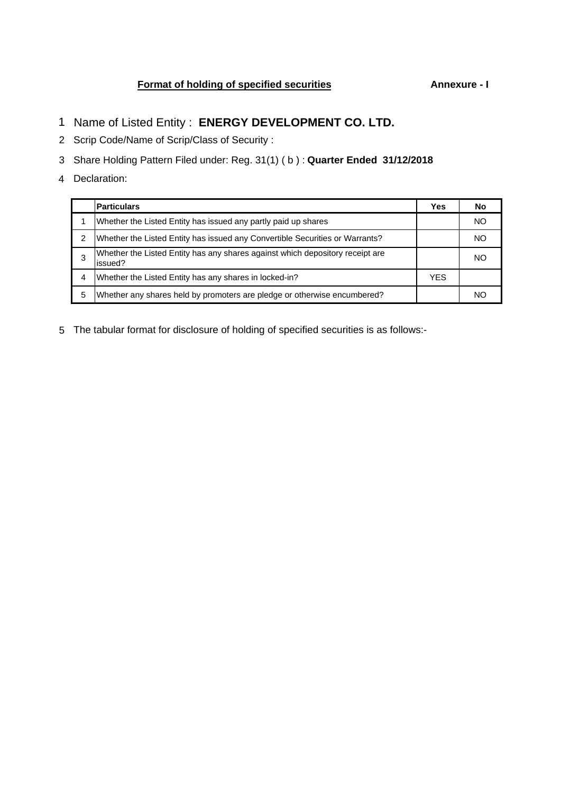# **Format of holding of specified securities Annexure - I**

- 1 Name of Listed Entity : **ENERGY DEVELOPMENT CO. LTD.**
- 2 Scrip Code/Name of Scrip/Class of Security :
- 3 Share Holding Pattern Filed under: Reg. 31(1) ( b ) : **Quarter Ended 31/12/2018**
- 4 Declaration:

|   | <b>Particulars</b>                                                                       | Yes        | Nο  |
|---|------------------------------------------------------------------------------------------|------------|-----|
|   | Whether the Listed Entity has issued any partly paid up shares                           |            | NO. |
| 2 | Whether the Listed Entity has issued any Convertible Securities or Warrants?             |            | NO. |
| 3 | Whether the Listed Entity has any shares against which depository receipt are<br>issued? |            | NO. |
| 4 | Whether the Listed Entity has any shares in locked-in?                                   | <b>YES</b> |     |
| 5 | Whether any shares held by promoters are pledge or otherwise encumbered?                 |            | NC. |

5 The tabular format for disclosure of holding of specified securities is as follows:-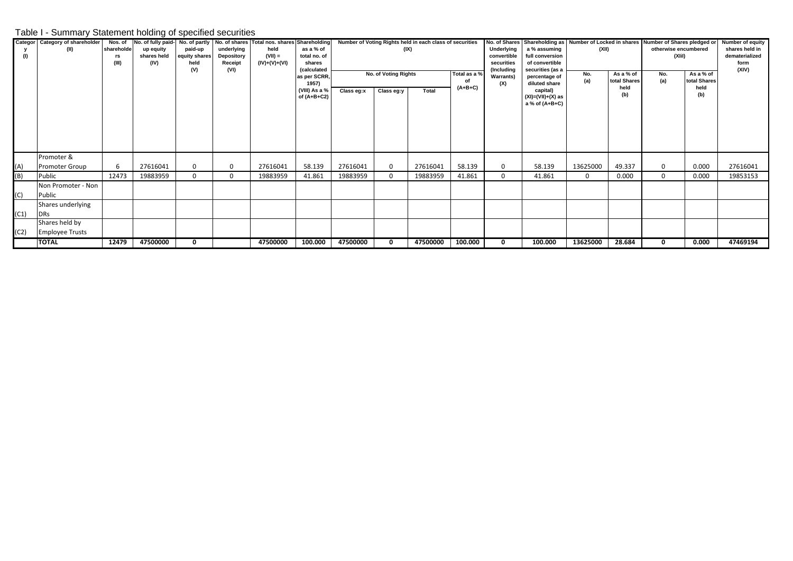## Table I - Summary Statement holding of specified securities

| (1)  | Categor   Category of shareholder<br>(II) | Nos. of<br>shareholde<br>rs<br>(III) | No. of fully paid-<br>up equity<br>shares held<br>(IV) | paid-up<br>equity shares<br>held<br>(V) | underlying<br>Depository<br>Receipt<br>(VI) | No. of partly No. of shares Total nos. shares Shareholding<br>held<br>$(VII) =$<br>(IV)+(V)+(VI) | as a % of<br>total no. of<br>shares<br><i><b>(calculated)</b></i> | Number of Voting Rights held in each class of securities<br>(IX) |                                    |          |                                 | Underlying<br>convertible<br>securities<br>(Including | a % assuming<br>full conversion<br>of convertible<br>securities (as a             | No. of Shares Shareholding as Number of Locked in shares Number of Shares pledged or<br>(XII) |                                          | otherwise encumbered<br>(XIiI) | Number of equity<br>shares held in<br>dematerialized<br>form<br>(XIV) |          |
|------|-------------------------------------------|--------------------------------------|--------------------------------------------------------|-----------------------------------------|---------------------------------------------|--------------------------------------------------------------------------------------------------|-------------------------------------------------------------------|------------------------------------------------------------------|------------------------------------|----------|---------------------------------|-------------------------------------------------------|-----------------------------------------------------------------------------------|-----------------------------------------------------------------------------------------------|------------------------------------------|--------------------------------|-----------------------------------------------------------------------|----------|
|      |                                           |                                      |                                                        |                                         |                                             |                                                                                                  | as per SCRR,<br>1957)<br>(VIII) As a %<br>of $(A+B+C2)$           | Class eg:x                                                       | No. of Voting Rights<br>Class eg:y | Total    | Total as a %<br>of<br>$(A+B+C)$ | <b>Warrants</b> )<br>(X)                              | percentage of<br>diluted share<br>capital)<br>(XI)=(VII)+(X) as<br>a % of (A+B+C) | No.<br>(a)                                                                                    | As a % of<br>total Shares<br>held<br>(b) | No.<br>(a)                     | As a % of<br>total Shares<br>held<br>(b)                              |          |
| (A)  | Promoter &<br><b>Promoter Group</b>       | 6                                    | 27616041                                               | $\Omega$                                |                                             | 27616041                                                                                         | 58.139                                                            | 27616041                                                         | $\mathbf 0$                        | 27616041 | 58.139                          | 0                                                     | 58.139                                                                            | 13625000                                                                                      | 49.337                                   | 0                              | 0.000                                                                 | 27616041 |
| (B)  | Public                                    | 12473                                | 19883959                                               | 0                                       |                                             | 19883959                                                                                         | 41.861                                                            | 19883959                                                         | $\Omega$                           | 19883959 | 41.861                          | 0                                                     | 41.861                                                                            | $\mathbf{0}$                                                                                  | 0.000                                    | $\mathbf{0}$                   | 0.000                                                                 | 19853153 |
| (C)  | Non Promoter - Non<br>Public              |                                      |                                                        |                                         |                                             |                                                                                                  |                                                                   |                                                                  |                                    |          |                                 |                                                       |                                                                                   |                                                                                               |                                          |                                |                                                                       |          |
| (C1) | Shares underlying<br><b>DRs</b>           |                                      |                                                        |                                         |                                             |                                                                                                  |                                                                   |                                                                  |                                    |          |                                 |                                                       |                                                                                   |                                                                                               |                                          |                                |                                                                       |          |
| (C2) | Shares held by<br><b>Employee Trusts</b>  |                                      |                                                        |                                         |                                             |                                                                                                  |                                                                   |                                                                  |                                    |          |                                 |                                                       |                                                                                   |                                                                                               |                                          |                                |                                                                       |          |
|      | <b>TOTAL</b>                              | 12479                                | 47500000                                               | 0                                       |                                             | 47500000                                                                                         | 100.000                                                           | 47500000                                                         | 0                                  | 47500000 | 100.000                         | 0                                                     | 100.000                                                                           | 13625000                                                                                      | 28.684                                   | 0                              | 0.000                                                                 | 47469194 |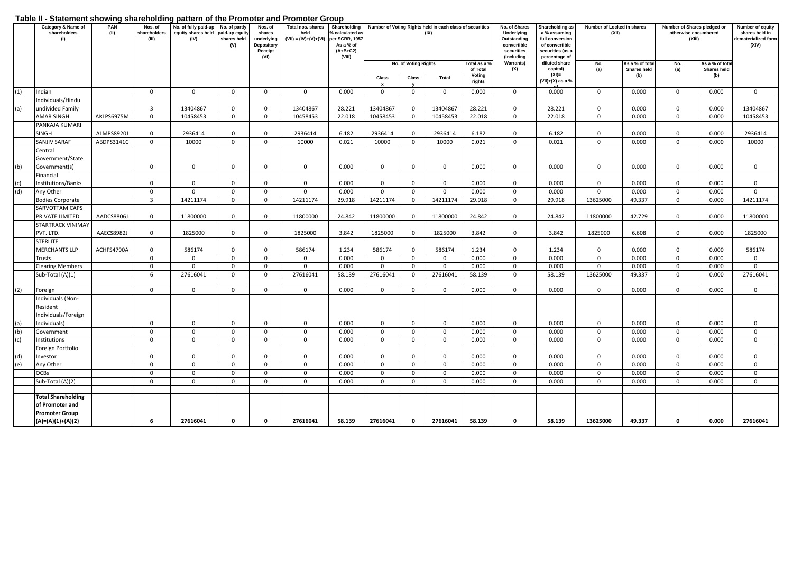### **Table II - Statement showing shareholding pattern of the Promoter and Promoter Group**

|     | Category & Name of<br>shareholders<br>(1)                                                    | PAN<br>(II) | Nos. of<br>shareholders<br>(III) | No. of fully paid-up<br>equity shares held<br>(IV) | No. of partly<br>paid-up equity<br>shares held<br>(V) | Nos. of<br>shares<br>underlying<br><b>Depository</b><br>Receipt<br>(VI) | Total nos. shares<br>held<br>$(VII) = (IV)+(V)+(VI)$ | Shareholding<br>% calculated as<br>per SCRR, 1957<br>As a % of<br>$(A+B+C2)$<br>(VIII) |              |                      | Number of Voting Rights held in each class of securities<br>(IX) |                          | No. of Shares<br>Underlying<br>Outstanding<br>convertible<br>securities<br>(Including | Shareholding as<br>a % assuming<br>full conversion<br>of convertible<br>securities (as a<br>percentage of |             | Number of Locked in shares<br>(XII) |              | Number of Shares pledged or<br>otherwise encumbered<br>(XIII) |                |
|-----|----------------------------------------------------------------------------------------------|-------------|----------------------------------|----------------------------------------------------|-------------------------------------------------------|-------------------------------------------------------------------------|------------------------------------------------------|----------------------------------------------------------------------------------------|--------------|----------------------|------------------------------------------------------------------|--------------------------|---------------------------------------------------------------------------------------|-----------------------------------------------------------------------------------------------------------|-------------|-------------------------------------|--------------|---------------------------------------------------------------|----------------|
|     |                                                                                              |             |                                  |                                                    |                                                       |                                                                         |                                                      |                                                                                        |              | No. of Voting Rights |                                                                  | Total as a %<br>of Total | <b>Warrants)</b><br>(X)                                                               | diluted share<br>capital)                                                                                 | No.<br>(a)  | As a % of tota<br>Shares held       | No.<br>(a)   | As a % of tota<br>Shares held                                 |                |
|     |                                                                                              |             |                                  |                                                    |                                                       |                                                                         |                                                      |                                                                                        | Class        | Class                | Total                                                            | Voting<br>rights         |                                                                                       | $(XI)$ =<br>$(VII)+(X)$ as a %                                                                            |             | (b)                                 |              | (b)                                                           |                |
| (1) | Indian                                                                                       |             | $\mathbf 0$                      | $\mathbf 0$                                        | $\mathbf 0$                                           | $\mathbf 0$                                                             | $\mathbf 0$                                          | 0.000                                                                                  | $\mathbf 0$  | $\mathbf 0$          | $\mathbf 0$                                                      | 0.000                    | $\mathbf 0$                                                                           | 0.000                                                                                                     | $\mathbf 0$ | 0.000                               | $\mathbf 0$  | 0.000                                                         | $\mathbf 0$    |
|     | Individuals/Hindu<br>undivided Family                                                        |             | $\overline{3}$                   | 13404867                                           | 0                                                     | $\mathbf 0$                                                             | 13404867                                             | 28.221                                                                                 | 13404867     | $\mathbf 0$          | 13404867                                                         | 28.221                   | $\mathbf 0$                                                                           | 28.221                                                                                                    | $\mathbf 0$ | 0.000                               | $\mathbf 0$  | 0.000                                                         | 13404867       |
|     | AMAR SINGH                                                                                   | AKLPS6975M  | $\mathbf{0}$                     | 10458453                                           | $\mathbf 0$                                           | $\mathbf 0$                                                             | 10458453                                             | 22.018                                                                                 | 10458453     | $\mathbf 0$          | 10458453                                                         | 22.018                   | $\mathbf 0$                                                                           | 22.018                                                                                                    | $\Omega$    | 0.000                               | $\mathbf 0$  | 0.000                                                         | 10458453       |
|     | PANKAJA KUMARI                                                                               |             |                                  |                                                    |                                                       |                                                                         |                                                      |                                                                                        |              |                      |                                                                  |                          |                                                                                       |                                                                                                           |             |                                     |              |                                                               |                |
|     | SINGH                                                                                        | ALMPS8920J  | $\mathbf 0$                      | 2936414                                            | $\mathbf 0$                                           | $\Omega$                                                                | 2936414                                              | 6.182                                                                                  | 2936414      | $\mathbf{0}$         | 2936414                                                          | 6.182                    | $\mathbf 0$                                                                           | 6.182                                                                                                     | $\Omega$    | 0.000                               | $\mathbf{0}$ | 0.000                                                         | 2936414        |
|     | SANJIV SARAF                                                                                 | ABDPS3141C  | $\mathbf 0$                      | 10000                                              | $\mathbf 0$                                           | $\mathbf{0}$                                                            | 10000                                                | 0.021                                                                                  | 10000        | $\mathbf 0$          | 10000                                                            | 0.021                    | $\mathbf 0$                                                                           | 0.021                                                                                                     | $\Omega$    | 0.000                               | $\mathbf{0}$ | 0.000                                                         | 10000          |
|     | Central<br>Government/State                                                                  |             |                                  |                                                    |                                                       |                                                                         |                                                      |                                                                                        |              |                      |                                                                  |                          |                                                                                       |                                                                                                           |             |                                     |              |                                                               |                |
| (b) | Government(s)                                                                                |             | $\mathbf 0$                      | $\mathbf 0$                                        | $\mathbf{0}$                                          | $\mathbf 0$                                                             | $\mathbf 0$                                          | 0.000                                                                                  | $\mathbf 0$  | $\mathbf 0$          | $\mathbf 0$                                                      | 0.000                    | $\mathbf 0$                                                                           | 0.000                                                                                                     | $\mathbf 0$ | 0.000                               | $\mathbf 0$  | 0.000                                                         | $\mathbf{0}$   |
| (c) | Financial<br>Institutions/Banks                                                              |             | $\mathbf{0}$                     | $\mathbf 0$                                        | $\mathbf 0$                                           | $\mathbf{0}$                                                            | $\mathbf{0}$                                         | 0.000                                                                                  | $\mathbf{0}$ | $\mathbf 0$          | $\mathbf{0}$                                                     | 0.000                    | $\mathbf{0}$                                                                          | 0.000                                                                                                     | $\mathbf 0$ | 0.000                               | $\mathbf{0}$ | 0.000                                                         | $\mathbf 0$    |
| (d) | Any Other                                                                                    |             | $\mathbf 0$                      | $\mathsf{O}$                                       | $\mathbf 0$                                           | $\mathbf 0$                                                             | $\mathbf 0$                                          | 0.000                                                                                  | $\mathbf 0$  | $\mathbf{0}$         | $\mathbf 0$                                                      | 0.000                    | $\mathbf 0$                                                                           | 0.000                                                                                                     | $\mathbf 0$ | 0.000                               | $\mathbf 0$  | 0.000                                                         | $\mathbf 0$    |
|     | <b>Bodies Corporate</b>                                                                      |             | $\overline{3}$                   | 14211174                                           | $\mathbf 0$                                           | $\mathbf 0$                                                             | 14211174                                             | 29.918                                                                                 | 14211174     | $\mathsf 0$          | 14211174                                                         | 29.918                   | $\mathbf 0$                                                                           | 29.918                                                                                                    | 13625000    | 49.337                              | $\mathbf 0$  | 0.000                                                         | 14211174       |
|     | SARVOTTAM CAPS<br>PRIVATE LIMITED                                                            | AADCS8806J  | $\mathbf{0}$                     | 11800000                                           | $\mathbf 0$                                           | $\mathbf{0}$                                                            | 11800000                                             | 24.842                                                                                 | 11800000     | $\mathbf{0}$         | 11800000                                                         | 24.842                   | $\mathbf{0}$                                                                          | 24.842                                                                                                    | 11800000    | 42.729                              | $\mathbf 0$  | 0.000                                                         | 11800000       |
|     | STARTRACK VINIMAY<br>PVT. LTD.                                                               | AAECS8982J  | $\mathbf 0$                      | 1825000                                            | $\mathbf 0$                                           | $\mathbf 0$                                                             | 1825000                                              | 3.842                                                                                  | 1825000      | $\mathbf 0$          | 1825000                                                          | 3.842                    | $\mathbf 0$                                                                           | 3.842                                                                                                     | 1825000     | 6.608                               | $\mathbf 0$  | 0.000                                                         | 1825000        |
|     | STERLITE<br><b>MERCHANTS LLP</b>                                                             | ACHFS4790A  | $\mathbf 0$                      | 586174                                             | $\mathbf{0}$                                          | $\mathbf{0}$                                                            | 586174                                               | 1.234                                                                                  | 586174       | $\mathbf{0}$         | 586174                                                           | 1.234                    | $\mathbf 0$                                                                           | 1.234                                                                                                     | 0           | 0.000                               | $\mathbf 0$  | 0.000                                                         | 586174         |
|     | Trusts                                                                                       |             | $\mathbf 0$                      | $\Omega$                                           | $\overline{0}$                                        | $\mathbf{0}$                                                            | $\mathbf 0$                                          | 0.000                                                                                  | $\mathbf{0}$ | $\mathbf{0}$         | $\mathbf{0}$                                                     | 0.000                    | $\mathbf 0$                                                                           | 0.000                                                                                                     | $\mathbf 0$ | 0.000                               | $\mathbf 0$  | 0.000                                                         | $\overline{0}$ |
|     | <b>Clearing Members</b>                                                                      |             | $\mathbf 0$                      | $\mathbf 0$                                        | $\mathbf 0$                                           | $\mathbf{0}$                                                            | $\mathbf{0}$                                         | 0.000                                                                                  | $\mathbf{0}$ | $\Omega$             | $\mathbf 0$                                                      | 0.000                    | $\mathbf{0}$                                                                          | 0.000                                                                                                     | $\mathbf 0$ | 0.000                               | $\mathbf 0$  | 0.000                                                         | $\mathbf{0}$   |
|     | Sub-Total (A)(1)                                                                             |             | 6                                | 27616041                                           | $\Omega$                                              | $\mathbf{0}$                                                            | 27616041                                             | 58.139                                                                                 | 27616041     | $\mathbf 0$          | 27616041                                                         | 58.139                   | $\mathbf 0$                                                                           | 58.139                                                                                                    | 13625000    | 49.337                              | $\mathbf 0$  | 0.000                                                         | 27616041       |
| (2) |                                                                                              |             | $\mathbf{0}$                     | $\mathsf{O}$                                       | $\mathbf{0}$                                          | $\mathbf 0$                                                             | $\mathbf 0$                                          | 0.000                                                                                  | $\mathbf{0}$ |                      | $\mathbf 0$                                                      | 0.000                    |                                                                                       | 0.000                                                                                                     |             | 0.000                               | $\mathbf 0$  | 0.000                                                         |                |
|     | Foreign<br>Individuals (Non-                                                                 |             |                                  |                                                    |                                                       |                                                                         |                                                      |                                                                                        |              | $\mathbf 0$          |                                                                  |                          | $\mathbf 0$                                                                           |                                                                                                           | $\mathbf 0$ |                                     |              |                                                               | $\mathbf 0$    |
|     | Resident<br>Individuals/Foreign                                                              |             |                                  |                                                    |                                                       |                                                                         |                                                      |                                                                                        |              |                      |                                                                  |                          |                                                                                       |                                                                                                           |             |                                     |              |                                                               |                |
| (a) | Individuals)                                                                                 |             | $\mathbf 0$                      | $\mathbf 0$                                        | $^{\circ}$                                            | $\mathbf 0$                                                             | $\mathbf 0$                                          | 0.000                                                                                  | $\mathbf 0$  | $\mathbf 0$          | $\mathbf 0$                                                      | 0.000                    | $\mathbf 0$                                                                           | 0.000                                                                                                     | $\mathbf 0$ | 0.000                               | $\mathbf 0$  | 0.000                                                         | $^{\circ}$     |
| (b) | Government                                                                                   |             | $\mathbf 0$                      | $\mathbf 0$                                        | $\mathbf{0}$                                          | $\mathbf{0}$                                                            | $\mathbf 0$                                          | 0.000                                                                                  | $\mathbf{0}$ | $\Omega$             | $\mathbf 0$                                                      | 0.000                    | $\mathbf{0}$                                                                          | 0.000                                                                                                     | $\mathbf 0$ | 0.000                               | $\mathbf 0$  | 0.000                                                         | $\mathbf 0$    |
| (c) | Institutions                                                                                 |             | $\Omega$                         | $\mathbf 0$                                        | $\mathbf{0}$                                          | $\mathbf{0}$                                                            | $\mathbf{0}$                                         | 0.000                                                                                  | $\mathbf{0}$ | $\mathbf 0$          | $\mathbf 0$                                                      | 0.000                    | $\mathbf{0}$                                                                          | 0.000                                                                                                     | $\mathbf 0$ | 0.000                               | $\mathbf 0$  | 0.000                                                         | $\mathbf{0}$   |
|     | Foreign Portfolio                                                                            |             |                                  |                                                    |                                                       |                                                                         |                                                      |                                                                                        |              |                      |                                                                  |                          |                                                                                       |                                                                                                           |             |                                     |              |                                                               |                |
| (d) | Investor                                                                                     |             | $\Omega$                         | $\mathbf 0$                                        | $\Omega$                                              | $\mathbf 0$                                                             | $\Omega$                                             | 0.000                                                                                  | $\mathbf{0}$ | $\Omega$             | $\mathbf 0$                                                      | 0.000                    | $\mathbf 0$                                                                           | 0.000                                                                                                     | $\Omega$    | 0.000                               | $\mathbf 0$  | 0.000                                                         | $\Omega$       |
|     | Any Other                                                                                    |             | $\Omega$                         | $\Omega$                                           | $\Omega$                                              | $\mathbf 0$                                                             | $\Omega$                                             | 0.000                                                                                  | $\Omega$     | $\Omega$             | $\mathbf{0}$                                                     | 0.000                    | $\mathbf 0$                                                                           | 0.000                                                                                                     | $\Omega$    | 0.000                               | $\mathbf 0$  | 0.000                                                         | $\Omega$       |
|     | <b>OCBs</b>                                                                                  |             | $\Omega$                         | $\mathbf 0$                                        | $\Omega$                                              | $\mathbf 0$                                                             | $\mathbf 0$                                          | 0.000                                                                                  | $\mathbf 0$  | $\mathbf 0$          | $\mathbf 0$                                                      | 0.000                    | $\mathbf 0$                                                                           | 0.000                                                                                                     | $\mathbf 0$ | 0.000                               | $\mathsf 0$  | 0.000                                                         | $\Omega$       |
|     | Sub-Total (A)(2)                                                                             |             | $\mathbf 0$                      | $\mathsf 0$                                        | $\Omega$                                              | $\mathbf 0$                                                             | $\Omega$                                             | 0.000                                                                                  | $\mathbf{0}$ | $\mathbf 0$          | $\mathsf 0$                                                      | 0.000                    | $\mathbf 0$                                                                           | 0.000                                                                                                     | $\Omega$    | 0.000                               | $\mathsf 0$  | 0.000                                                         | $\mathbf 0$    |
|     | <b>Total Shareholding</b><br>of Promoter and<br><b>Promoter Group</b><br>$(A)=(A)(1)+(A)(2)$ |             | 6                                | 27616041                                           | $\mathbf 0$                                           | $\mathbf{0}$                                                            | 27616041                                             | 58.139                                                                                 | 27616041     | $\mathbf 0$          | 27616041                                                         | 58.139                   | $\mathbf 0$                                                                           | 58.139                                                                                                    | 13625000    | 49.337                              | $\mathbf{0}$ | 0.000                                                         | 27616041       |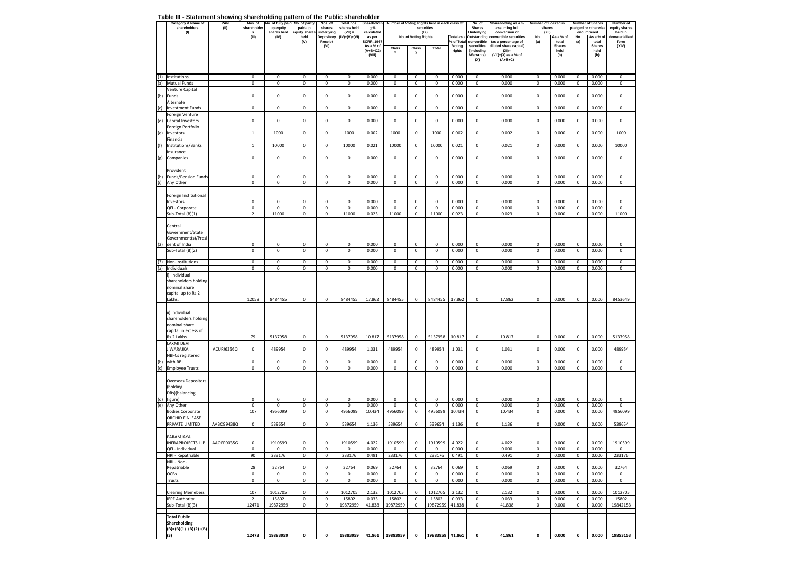#### **Table III - Statement showing shareholding pattern of the Public shareholder**

|     | Category & Name of<br>shareholders        | PAN<br>(II) | Nos. of<br>shareholder   | lo. of fully paid <sub>'</sub><br>up equity | No. of partly<br>paid-up   | Nos. of<br>shares               | Total nos.<br>shares held  | <b>Shareholdin</b><br>g % | Number of Voting Rights held in each class of<br>securities |                            |                        | No. of<br><b>Shares</b> | Shareholding as a %<br>assuming full |                                                           | Number of Locked in<br>shares |                        | <b>Number of Shares</b><br>pledged or otherwise | Number of<br>equity shares |                           |
|-----|-------------------------------------------|-------------|--------------------------|---------------------------------------------|----------------------------|---------------------------------|----------------------------|---------------------------|-------------------------------------------------------------|----------------------------|------------------------|-------------------------|--------------------------------------|-----------------------------------------------------------|-------------------------------|------------------------|-------------------------------------------------|----------------------------|---------------------------|
|     | (1)                                       |             | s<br>(III)               | shares held<br>(IV)                         | quity share:<br>held       | <b>Inderlying</b><br>Depository | (VII) =<br>$(IV)+(V)+(VI)$ | calculated<br>as per      |                                                             | No. of Voting Rights       | (IX)                   | Total as a              | Underlying                           | conversion of<br><b>Outstanding convertible securitie</b> | (XII)<br>No.                  | As a % of              | No.                                             | encumbered<br>As a % of    | held in<br>dematerialized |
|     |                                           |             |                          |                                             | (V)                        | Receipt<br>(VI)                 |                            | SCRR, 1957<br>As a % of   |                                                             |                            |                        | % of Tota<br>Voting     | convertible<br>securities            | (as a percentage of<br>diluted share capital              | (a)                           | total<br><b>Shares</b> | (a)                                             | total<br><b>Shares</b>     | form<br>(XIV)             |
|     |                                           |             |                          |                                             |                            |                                 |                            | $(A+B+C2)$                | Class<br>$\boldsymbol{\mathsf{x}}$                          | Class<br>y                 | Total                  | rights                  | (Including                           | $(XI) =$                                                  |                               | held                   |                                                 | held                       |                           |
|     |                                           |             |                          |                                             |                            |                                 |                            | (VIII)                    |                                                             |                            |                        |                         | Warrants)<br>(X)                     | $(VII)+(X)$ as a % of<br>$(A+B+C)$                        |                               | (b)                    |                                                 | (b)                        |                           |
|     |                                           |             |                          |                                             |                            |                                 |                            |                           |                                                             |                            |                        |                         |                                      |                                                           |                               |                        |                                                 |                            |                           |
| (1) | Institutions                              |             | 0                        | $\bf{0}$                                    | $\,0\,$                    | $\mathbf 0$                     | $\mathbf 0$                | 0.000                     | 0                                                           | 0                          | $\mathbf 0$            | 0.000                   | 0                                    | 0.000                                                     | $\,0\,$                       | 0.000                  | $\mathbf 0$                                     | 0.000                      | 0                         |
| (a) | Mutual Funds                              |             | 0                        | $\bf{0}$                                    | $\,0\,$                    | $\mathbf 0$                     | $\mathbf 0$                | 0.000                     | $\,0\,$                                                     | $\pmb{0}$                  | $\mathbf 0$            | 0.000                   | 0                                    | 0.000                                                     | $\,0\,$                       | 0.000                  | $\mathbf 0$                                     | 0.000                      | 0                         |
| (b) | Venture Capital<br>Funds                  |             | 0                        | $\mathbf 0$                                 | $\,0\,$                    | 0                               | 0                          | 0.000                     | 0                                                           | 0                          | 0                      | 0.000                   | 0                                    | 0.000                                                     | $\mathbf 0$                   | 0.000                  | $\mathbf 0$                                     | 0.000                      | 0                         |
|     | Alternate                                 |             |                          |                                             |                            |                                 |                            |                           |                                                             |                            |                        |                         |                                      |                                                           |                               |                        |                                                 |                            |                           |
| (c) | <b>Investment Funds</b>                   |             | 0                        | $\mathbf 0$                                 | $\,0\,$                    | $\pmb{0}$                       | 0                          | 0.000                     | 0                                                           | 0                          | 0                      | 0.000                   | 0                                    | 0.000                                                     | $\,0\,$                       | 0.000                  | $\mathbf 0$                                     | 0.000                      | $\mathbf 0$               |
| (d) | Foreign Venture<br>Capital Investors      |             | 0                        | $\mathbf 0$                                 | $\mathsf 0$                | 0                               | $\pmb{0}$                  | 0.000                     | $\,0\,$                                                     | $\mathbf 0$                | 0                      | 0.000                   | 0                                    | 0.000                                                     | $\mathsf 0$                   | 0.000                  | $\mathbf 0$                                     | 0.000                      | 0                         |
|     | Foreign Portfolio                         |             |                          |                                             |                            |                                 |                            |                           |                                                             |                            |                        |                         |                                      |                                                           |                               |                        |                                                 |                            |                           |
| (e) | Investors                                 |             | $\mathbf{1}$             | 1000                                        | $\,0\,$                    | 0                               | 1000                       | 0.002                     | 1000                                                        | 0                          | 1000                   | 0.002                   | 0                                    | 0.002                                                     | $\,0\,$                       | 0.000                  | 0                                               | 0.000                      | 1000                      |
| (f) | Financial<br>nstitutions/Banks            |             | $\mathbf{1}$             | 10000                                       | $\mathbf 0$                | 0                               | 10000                      | 0.021                     | 10000                                                       | 0                          | 10000                  | 0.021                   | 0                                    | 0.021                                                     | $\mathsf 0$                   | 0.000                  | $\mathbf 0$                                     | 0.000                      | 10000                     |
|     | Insurance                                 |             |                          |                                             |                            |                                 |                            |                           |                                                             |                            |                        |                         |                                      |                                                           |                               |                        |                                                 |                            |                           |
| (g) | Companies                                 |             | 0                        | $\mathbf 0$                                 | $\,0\,$                    | 0                               | 0                          | 0.000                     | 0                                                           | 0                          | 0                      | 0.000                   | 0                                    | 0.000                                                     | $\mathbf 0$                   | 0.000                  | $\mathbf 0$                                     | 0.000                      | 0                         |
|     | Provident                                 |             |                          |                                             |                            |                                 |                            |                           |                                                             |                            |                        |                         |                                      |                                                           |                               |                        |                                                 |                            |                           |
| (h) | <b>Funds/Pension Funds</b>                |             | $\mathbf 0$              | $\mathbf 0$                                 | $\mathbf 0$                | 0                               | 0                          | 0.000                     | 0                                                           | 0                          | 0                      | 0.000                   | 0                                    | 0.000                                                     | $\mathbf 0$                   | 0.000                  | $\mathbf 0$                                     | 0.000                      | 0                         |
| (i) | Any Other                                 |             | 0                        | $\mathbf 0$                                 | $\mathbf 0$                | $\pmb{0}$                       | $\mathbf 0$                | 0.000                     | 0                                                           | $\mathbf 0$                | $\mathsf 0$            | 0.000                   | $\mathbf 0$                          | 0.000                                                     | $\mathsf 0$                   | 0.000                  | $\mathbf 0$                                     | 0.000                      | 0                         |
|     | Foreign Institutional                     |             |                          |                                             |                            |                                 |                            |                           |                                                             |                            |                        |                         |                                      |                                                           |                               |                        |                                                 |                            |                           |
|     | Investors                                 |             | $\mathbf 0$              | $^{\circ}$                                  | $^{\circ}$                 | 0                               | 0                          | 0.000                     | 0                                                           | 0                          | 0                      | 0.000                   | 0                                    | 0.000                                                     | $\,0\,$                       | 0.000                  | $\mathbf 0$                                     | 0.000                      | 0                         |
|     | QFI - Corporate<br>Sub-Total (B)(1)       |             | 0<br>$\overline{2}$      | $\mathbf 0$<br>11000                        | $\mathbf 0$<br>$\mathbf 0$ | $\mathbf 0$<br>$\pmb{0}$        | 0<br>11000                 | 0.000<br>0.023            | $\,0\,$<br>11000                                            | $\pmb{0}$<br>$\mathbf 0$   | 0<br>11000             | 0.000<br>0.023          | 0<br>$\mathbf 0$                     | 0.000<br>0.023                                            | $\,0\,$<br>$\mathsf 0$        | 0.000<br>0.000         | $\mathbf 0$<br>$\mathbf 0$                      | 0.000<br>0.000             | 0<br>11000                |
|     |                                           |             |                          |                                             |                            |                                 |                            |                           |                                                             |                            |                        |                         |                                      |                                                           |                               |                        |                                                 |                            |                           |
|     | Central<br>Government/State               |             |                          |                                             |                            |                                 |                            |                           |                                                             |                            |                        |                         |                                      |                                                           |                               |                        |                                                 |                            |                           |
|     | Government(s)/Presi                       |             |                          |                                             |                            |                                 |                            |                           |                                                             |                            |                        |                         |                                      |                                                           |                               |                        |                                                 |                            |                           |
| (2) | dent of India                             |             | $\mathbf 0$              | $^{\circ}$                                  | 0                          | 0                               | 0                          | 0.000                     | $^{\circ}$                                                  | 0                          | 0                      | 0.000                   | 0                                    | 0.000                                                     | 0                             | 0.000                  | $\mathbf 0$                                     | 0.000                      | 0                         |
|     | Sub-Total (B)(2)                          |             | 0                        | $\mathbf 0$                                 | $\mathsf 0$                | $\pmb{0}$                       | $\mathbf 0$                | 0.000                     | $\,0\,$                                                     | $\mathbf 0$                | $\mathsf 0$            | 0.000                   | $\mathbf 0$                          | 0.000                                                     | $\mathsf 0$                   | 0.000                  | $\mathbf 0$                                     | 0.000                      | 0                         |
| (3) | Non-Institutions                          |             | $\mathbf 0$              | $\mathbf 0$                                 | $\mathbf 0$                | $\pmb{0}$                       | $\pmb{0}$                  | 0.000                     | $\mathsf 0$                                                 | $\mathbf 0$                | $\mathbf 0$            | 0.000                   | $\pmb{0}$                            | 0.000                                                     | $\mathbf 0$                   | 0.000                  | $\mathbf 0$                                     | 0.000                      | 0                         |
| (a) | Individuals                               |             | 0                        | $\mathbf 0$                                 | $\,0\,$                    | 0                               | 0                          | 0.000                     | 0                                                           | 0                          | 0                      | 0.000                   | 0                                    | 0.000                                                     | $\mathbf 0$                   | 0.000                  | $\mathbf 0$                                     | 0.000                      | 0                         |
|     | i) Individual<br>shareholders holding     |             |                          |                                             |                            |                                 |                            |                           |                                                             |                            |                        |                         |                                      |                                                           |                               |                        |                                                 |                            |                           |
|     | nominal share                             |             |                          |                                             |                            |                                 |                            |                           |                                                             |                            |                        |                         |                                      |                                                           |                               |                        |                                                 |                            |                           |
|     | capital up to Rs.2<br>Lakhs.              |             | 12058                    | 8484455                                     | $\,0\,$                    | 0                               | 8484455                    | 17.862                    | 8484455                                                     | $\pmb{0}$                  | 8484455                | 17.862                  | $\pmb{0}$                            | 17.862                                                    | $\mathbf 0$                   | 0.000                  | $\mathbf 0$                                     | 0.000                      | 8453649                   |
|     |                                           |             |                          |                                             |                            |                                 |                            |                           |                                                             |                            |                        |                         |                                      |                                                           |                               |                        |                                                 |                            |                           |
|     | ii) Individual                            |             |                          |                                             |                            |                                 |                            |                           |                                                             |                            |                        |                         |                                      |                                                           |                               |                        |                                                 |                            |                           |
|     | shareholders holding<br>nominal share     |             |                          |                                             |                            |                                 |                            |                           |                                                             |                            |                        |                         |                                      |                                                           |                               |                        |                                                 |                            |                           |
|     | capital in excess of                      |             |                          |                                             |                            |                                 |                            |                           |                                                             |                            |                        |                         |                                      |                                                           |                               |                        |                                                 |                            |                           |
|     | Rs.2 Lakhs.                               |             | 79                       | 5137958                                     | $\,0\,$                    | 0                               | 5137958                    | 10.817                    | 5137958                                                     | $\,0\,$                    | 5137958                | 10.817                  | 0                                    | 10.817                                                    | $\,0\,$                       | 0.000                  | $\mathbf 0$                                     | 0.000                      | 5137958                   |
|     | LAXMI DEVI<br>JIWARAJKA                   | ACUPJ6356Q  | 0                        | 489954                                      | $\mathbf 0$                | $\mathbf 0$                     | 489954                     | 1.031                     | 489954                                                      | $\mathbf 0$                | 489954                 | 1.031                   | 0                                    | 1.031                                                     | $\mathsf 0$                   | 0.000                  | $\mathbf 0$                                     | 0.000                      | 489954                    |
|     | NBFCs registered                          |             |                          |                                             |                            |                                 |                            |                           |                                                             |                            |                        |                         |                                      |                                                           |                               |                        |                                                 |                            |                           |
| (b) | with RBI<br>(c) Employee Trusts           |             | $\bf 0$<br>0             | 0<br>$\mathbf 0$                            | $\mathbf 0$<br>$\mathbf 0$ | 0<br>$\mathbf 0$                | 0<br>$\pmb{0}$             | 0.000<br>0.000            | $\mathbf 0$<br>$\mathbf 0$                                  | 0<br>$\mathbf 0$           | 0<br>$\pmb{0}$         | 0.000<br>0.000          | 0<br>$\mathsf 0$                     | 0.000<br>0.000                                            | $\mathbf 0$<br>$\mathbf 0$    | 0.000<br>0.000         | 0<br>$\mathbf 0$                                | 0.000<br>0.000             | 0<br>$\mathbf 0$          |
|     |                                           |             |                          |                                             |                            |                                 |                            |                           |                                                             |                            |                        |                         |                                      |                                                           |                               |                        |                                                 |                            |                           |
|     | <b>Overseas Depositors</b>                |             |                          |                                             |                            |                                 |                            |                           |                                                             |                            |                        |                         |                                      |                                                           |                               |                        |                                                 |                            |                           |
|     | holding<br>DRs)(balancing                 |             |                          |                                             |                            |                                 |                            |                           |                                                             |                            |                        |                         |                                      |                                                           |                               |                        |                                                 |                            |                           |
|     | (d) figure)                               |             | $\bf 0$                  | $\mathbf 0$                                 | $\,0\,$                    | 0                               | $\mathbf 0$                | 0.000                     | 0                                                           | 0                          | $\mathbf 0$            | 0.000                   | 0                                    | 0.000                                                     | $\,0\,$                       | 0.000                  | $\mathbf 0$                                     | 0.000                      | 0                         |
| (e) | Any Other<br><b>Bodies Corporate</b>      |             | $\bf 0$<br>107           | $\pmb{0}$<br>4956099                        | $\,0\,$<br>$\mathbf 0$     | 0<br>$\pmb{0}$                  | $\pmb{0}$<br>4956099       | 0.000<br>10.434           | $\mathsf 0$<br>4956099                                      | $\pmb{0}$<br>$\,0\,$       | $\mathbf 0$<br>4956099 | 0.000<br>10.434         | 0<br>0                               | 0.000<br>10.434                                           | $\mathbf 0$<br>$\mathbf 0$    | 0.000<br>0.000         | $\mathbf 0$<br>$\mathbf 0$                      | 0.000<br>0.000             | 0<br>4956099              |
|     | ORCHID FINLEASE                           |             |                          |                                             |                            |                                 |                            |                           |                                                             |                            |                        |                         |                                      |                                                           |                               |                        |                                                 |                            |                           |
|     | PRIVATE LIMITED                           | AABCG9438Q  | 0                        | 539654                                      | $\mathbf 0$                | $\bf 0$                         | 539654                     | 1.136                     | 539654                                                      | 0                          | 539654                 | 1.136                   | 0                                    | 1.136                                                     | $\mathsf 0$                   | 0.000                  | 0                                               | 0.000                      | 539654                    |
|     | PARAMJAYA                                 |             |                          |                                             |                            |                                 |                            |                           |                                                             |                            |                        |                         |                                      |                                                           |                               |                        |                                                 |                            |                           |
|     | INFRAPROJECTS LLP                         | AAOFP0035G  | $\Omega$                 | 1910599                                     | $\Omega$                   | $\Omega$                        | 1910599                    | 4.022                     | 1910599                                                     | $\Omega$                   | 1910599                | 4.022                   | $\Omega$                             | 4.022                                                     | $\Omega$                      | 0.000                  | $\Omega$                                        | 0.000                      | 1910599                   |
|     | QFI - Individual                          |             | 0                        | $\mathbf 0$                                 | $\,0\,$                    | 0                               | 0                          | 0.000                     | $\,0\,$                                                     | $\pmb{0}$                  | 0                      | 0.000                   | $\pmb{0}$                            | 0.000                                                     | $\mathbf 0$                   | 0.000                  | $\mathbf 0$                                     | 0.000                      | 0                         |
|     | NRI - Repatriable<br>NRI - Non-           |             | 90                       | 233176                                      | $\,0\,$                    | $\pmb{0}$                       | 233176                     | 0.491                     | 233176                                                      | $\pmb{0}$                  | 233176                 | 0.491                   | $\mathbf 0$                          | 0.491                                                     | $\,0\,$                       | 0.000                  | $\mathbf 0$                                     | 0.000                      | 233176                    |
|     | Repatriable                               |             | 28                       | 32764                                       | 0                          | 0                               | 32764                      | 0.069                     | 32764                                                       | $\mathbf 0$                | 32764                  | 0.069                   | 0                                    | 0.069                                                     | $\mathbf 0$                   | 0.000                  | $\mathbf 0$                                     | 0.000                      | 32764                     |
|     | OCBs<br>Trusts                            |             | $\mathbf 0$<br>$\pmb{0}$ | $\mathbf 0$<br>$\,0\,$                      | $\mathbf 0$<br>$\,0\,$     | $\pmb{0}$<br>$\pmb{0}$          | $\pmb{0}$<br>0             | 0.000<br>0.000            | $\,0\,$<br>$\,0\,$                                          | $\mathbf 0$<br>$\mathbf 0$ | $\pmb{0}$<br>$\pmb{0}$ | 0.000<br>0.000          | $\mathbf 0$<br>$\mathbf 0$           | 0.000<br>0.000                                            | $\mathbf 0$<br>$\,0\,$        | 0.000<br>0.000         | $\mathbf 0$<br>$\,0\,$                          | 0.000<br>0.000             | 0<br>$\mathbf 0$          |
|     |                                           |             |                          |                                             |                            |                                 |                            |                           |                                                             |                            |                        |                         |                                      |                                                           |                               |                        |                                                 |                            |                           |
|     | <b>Clearing Memebers</b>                  |             | 107                      | 1012705                                     | $\,0\,$                    | 0                               | 1012705                    | 2.132                     | 1012705                                                     | $\mathbf 0$                | 1012705                | 2.132                   | 0                                    | 2.132                                                     | $\,0\,$                       | 0.000                  | $\mathbf 0$                                     | 0.000                      | 1012705                   |
|     | <b>IEPF Authority</b><br>Sub-Total (B)(3) |             | $\overline{2}$<br>12471  | 15802<br>19872959                           | $\mathbf 0$<br>$\,0\,$     | 0<br>$\pmb{0}$                  | 15802<br>19872959          | 0.033<br>41.838           | 15802<br>19872959                                           | $\pmb{0}$<br>$\mathbf 0$   | 15802<br>19872959      | 0.033<br>41.838         | 0<br>$\mathbf 0$                     | 0.033<br>41.838                                           | $\,0\,$<br>$\mathbf 0$        | 0.000<br>0.000         | $\mathbf 0$<br>$\mathbf 0$                      | 0.000<br>0.000             | 15802<br>19842153         |
|     |                                           |             |                          |                                             |                            |                                 |                            |                           |                                                             |                            |                        |                         |                                      |                                                           |                               |                        |                                                 |                            |                           |
|     | <b>Total Public</b><br>Shareholding       |             |                          |                                             |                            |                                 |                            |                           |                                                             |                            |                        |                         |                                      |                                                           |                               |                        |                                                 |                            |                           |
|     | $(B)=(B)(1)+(B)(2)+(B)$                   |             |                          |                                             |                            |                                 |                            |                           |                                                             |                            |                        |                         |                                      |                                                           |                               |                        |                                                 |                            |                           |
|     | (3)                                       |             | 12473                    | 19883959                                    | $\pmb{\mathsf{o}}$         | $\pmb{\mathsf{o}}$              | 19883959                   | 41.861                    | 19883959                                                    | $\mathbf{0}$               | 19883959 41.861        |                         | 0                                    | 41.861                                                    | $\pmb{\mathsf{o}}$            | 0.000                  | $\pmb{0}$                                       | 0.000                      | 19853153                  |